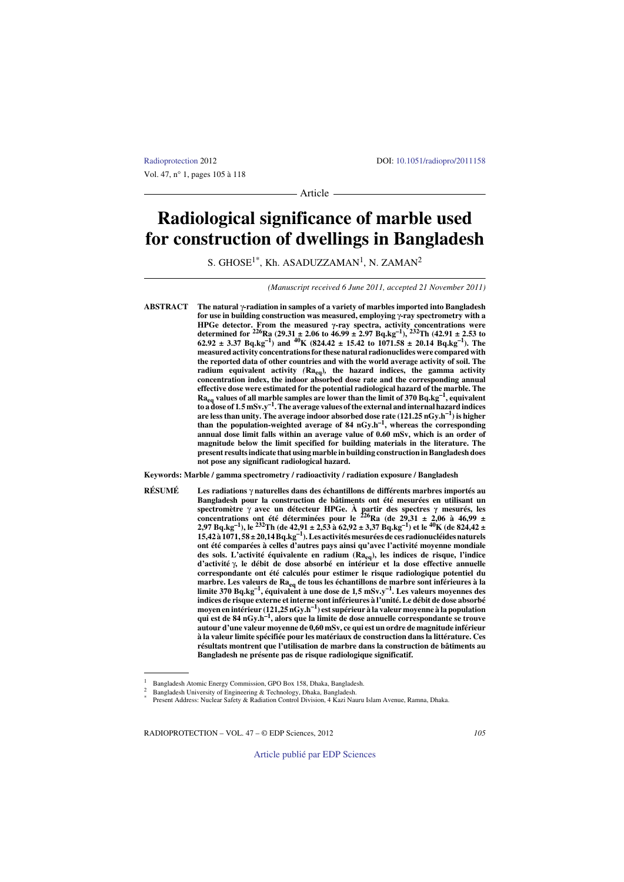Vol. 47, n° 1, pages 105 à 118

[Radioprotection](http://www.radioprotection.org) 20[1](http://dx.doi.org/10.1051/radiopro/2011158)2 DOI: 10.1051/radiopro/2011158

Article -

# **Radiological significance of marble used for construction of dwellings in Bangladesh**

S. GHOSE $^{1*}$ , Kh. ASADUZZAMAN $^{1}$ , N. ZAMAN $^{2}$ 

*(Manuscript received 6 June 2011, accepted 21 November 2011)*

**ABSTRACT The natural** γ**-radiation in samples of a variety of marbles imported into Bangladesh for use in building construction was measured, employing** γ**-ray spectrometry with a HPGe detector.** From the measured  $\gamma$ -ray spectra, activity concentrations were determined for  ${}^{226}\text{Ra}$  (29.31 ± 2.06 to 46.99 ± 2.97 Bq.kg<sup>-1</sup>), <sup>232</sup>Th (42.91 ± 2.53 to  $62.92 \pm 3.37$  Bq.kg<sup>-1</sup>) and <sup>40</sup>K (824.42  $\pm$  15.42 to 1071.58  $\pm$  20.14 Bq.kg<sup>-1</sup>). The **measured activity concentrations for these natural radionuclides were compared with the reported data of other countries and with the world average activity of soil. The radium equivalent activity** *(***Raeq)***,* **the hazard indices, the gamma activity concentration index, the indoor absorbed dose rate and the corresponding annual effective dose were estimated for the potential radiological hazard of the marble. The**  $Ra_{eq}$  values of all marble samples are lower than the limit of 370 Bq.kg<sup>-1</sup>, equivalent **to a dose of 1***.***5 mSv.y–1. The average values of the external and internal hazard indices are less than unity. The average indoor absorbed dose rate (121.25 nGy.h–1) is higher than the population-weighted average of 84 nGy.h–1, whereas the corresponding annual dose limit falls within an average value of 0.60 mSv, which is an order of magnitude below the limit specified for building materials in the literature. The present results indicate that using marble in building construction in Bangladesh does not pose any significant radiological hazard.**

**Keywords: Marble / gamma spectrometry / radioactivity / radiation exposure / Bangladesh**

**RÉSUMÉ Les radiations** γ **naturelles dans des échantillons de différents marbres importés au Bangladesh pour la construction de bâtiments ont été mesurées en utilisant un spectromètre** γ **avec un détecteur HPGe. À partir des spectres γ mesurés, les concentrations ont été déterminées pour le 226Ra (de 29,31 ± 2,06 à 46,99 ± 2,97 Bq.kg–1), le 232Th (de 42,91 ± 2,53 à 62,92 ± 3,37 Bq.kg–1) et le 40K (de 824,42 ± 15,42 à 1071, 58 ± 20,14 Bq.kg–1). Les activitésmesurées de ces radionucléides naturels ont été comparées à celles d'autres pays ainsi qu'avec l'activité moyenne mondiale des sols. L'activité équivalente en radium (Raeq), les indices de risque, l'indice d'activité** γ**, le débit de dose absorbé en intérieur et la dose effective annuelle correspondante ont été calculés pour estimer le risque radiologique potentiel du marbre. Les valeurs de Raeq de tous les échantillons de marbre sont inférieures à la limite 370 Bq.kg–1, équivalent à une dose de 1***,***5 mSv.y–1. Les valeurs moyennes des indices de risque externe et interne sont inférieures à l'unité. Le débit de dose absorbé moyen en intérieur (121,25 nGy.h–1) est supérieur à la valeur moyenne à la population qui est de 84 nGy.h–1, alors que la limite de dose annuelle correspondante se trouve autour d'une valeur moyenne de 0,60 mSv, ce qui est un ordre de magnitude inférieur à la valeur limite spécifiée pour les matériaux de construction dans la littérature. Ces résultats montrent que l'utilisation de marbre dans la construction de bâtiments au Bangladesh ne présente pas de risque radiologique significatif.**

RADIOPROTECTION – VOL. 47 – © EDP Sciences, 2012 *105*

[Article publié par EDP Sciences](http://www.edpsciences.org)

<sup>1</sup> Bangladesh Atomic Energy Commission, GPO Box 158, Dhaka, Bangladesh.

<sup>2</sup> Bangladesh University of Engineering & Technology, Dhaka, Bangladesh.<br>
Present Address: Nuclear Safety & Radiation Control Division, 4 Kazi Nauru Islam Avenue, Ramna, Dhaka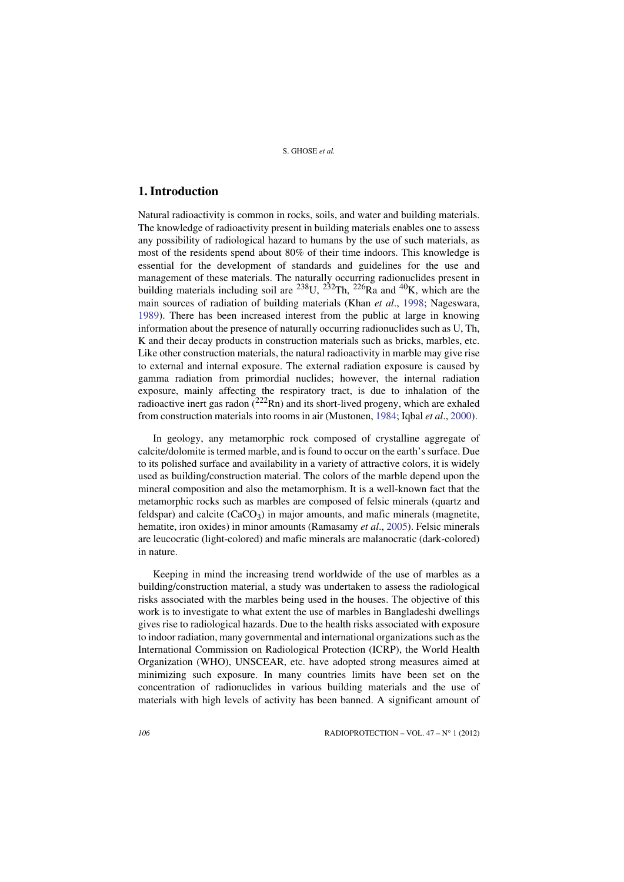# **1. Introduction**

Natural radioactivity is common in rocks, soils, and water and building materials. The knowledge of radioactivity present in building materials enables one to assess any possibility of radiological hazard to humans by the use of such materials, as most of the residents spend about 80% of their time indoors. This knowledge is essential for the development of standards and guidelines for the use and management of these materials. The naturally occurring radionuclides present in building materials including soil are  $^{238}$ U,  $^{232}$ Th,  $^{226}$ Ra and  $^{40}$ K, which are the main sources of radiation of building materials (Khan *et al*., [1998](#page-12-0)[; Nageswara,](#page-13-0) [1](#page-13-0)989). There has been increased interest from the public at large in knowing information about the presence of naturally occurring radionuclides such as U, Th, K and their decay products in construction materials such as bricks, marbles, etc. Like other construction materials, the natural radioactivity in marble may give rise to external and internal exposure. The external radiation exposure is caused by gamma radiation from primordial nuclides; however, the internal radiation exposure, mainly affecting the respiratory tract, is due to inhalation of the radioactive inert gas radon  $(^{222}Rn)$  and its short-lived progeny, which are exhaled from construction materials into rooms in air (Mustonen, [1984](#page-12-2); Iqbal *et al*., [2000\)](#page-12-1).

[In geology, any metamorphic rock composed of crystalline aggregate of](http://www.sciencedirect.com/science/journal/0265931X) [calcite/dolomite is termed marble, and is found to occur on the earth's surface. Due](http://www.sciencedirect.com/science/journal/0265931X) [to its polished surface and availability in a variety of attr](http://www.sciencedirect.com/science/journal/0265931X)[active colors, it is widely](http://www.sciencedirect.com/science?_ob=PublicationURL&_tockey=%23TOC%235914%232000%23999489997%23197076%23FLA%23&_cdi=5914&_pubType=J&_auth=y&_acct=C000050221&_version=1&_urlVersion=0&_userid=10&md5=20ce23c351e3ec2dd72517de57e92d10) used as building/construction material. The colors of the marble depend upon the [mineral composition and also the metamorphism. It is a well-known fact that the](http://www.sciencedirect.com/science?_ob=PublicationURL&_tockey=%23TOC%235914%232000%23999489997%23197076%23FLA%23&_cdi=5914&_pubType=J&_auth=y&_acct=C000050221&_version=1&_urlVersion=0&_userid=10&md5=20ce23c351e3ec2dd72517de57e92d10) metamorphic rocks such as marbles are composed of felsic minerals (quartz and feldspar) and calcite  $(CaCO<sub>3</sub>)$  in major amounts, and mafic minerals (magnetite, hematite, iron oxides) in minor amounts (Ramasamy *et al*., [2005\)](#page-13-1). Felsic minerals are leucocratic (light-colored) and mafic minerals are malanocratic (dark-colored) in nature.

Keeping in mind the increasing trend worldwide of the use of marbles as a building/construction material, a study was undertaken to assess the radiological risks associated with the marbles being used in the houses. The objective of this work is to investigate to what extent the use of marbles in Bangladeshi dwellings gives rise to radiological hazards. Due to the health risks associated with exposure to indoor radiation, many governmental and international organizations such as the International Commission on Radiological Protection (ICRP), the World Health Organization (WHO), UNSCEAR, etc. have adopted strong measures aimed at minimizing such exposure. In many countries limits have been set on the concentration of radionuclides in various building materials and the use of materials with high levels of activity has been banned. A significant amount of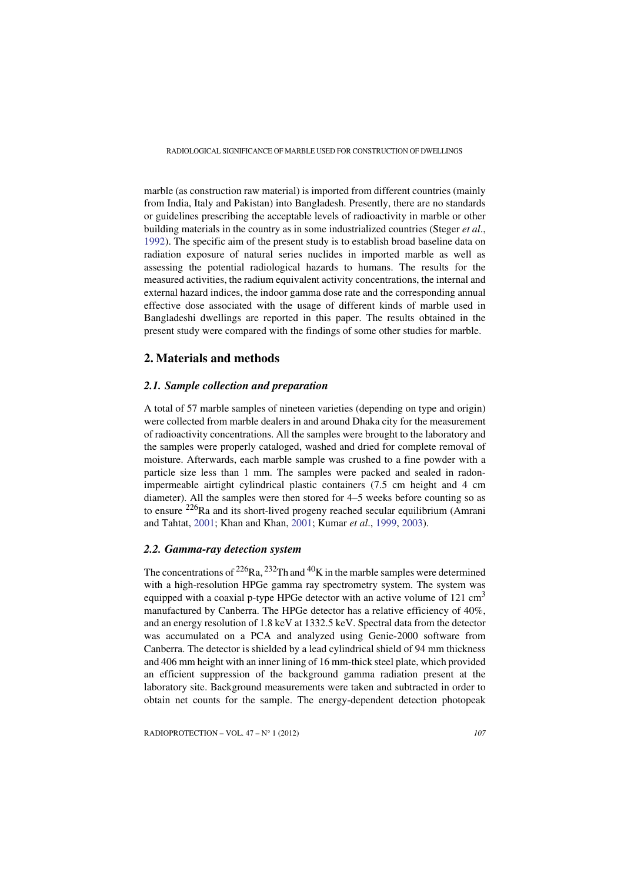marble (as construction raw material) is imported from different countries (mainly from India, Italy and Pakistan) into Bangladesh. Presently, there are no standards or guidelines prescribing the acceptable levels of radioactivity in marble or other building materials in the country as in some industrialized countries (Steger *et al*., [1992](#page-13-2)[\). The specific aim of the present study is to establish broad baseline data on](http://www.sciencedirect.com/science/journal/09698043) [radiation exposure of natural series nuclides in imported marble as well as](http://www.sciencedirect.com/science/journal/09698043) assessing the potential radiological hazards to humans. The results for the measured activities, the radium equivalent activity concentrations, the internal and external hazard indices, the indoor gamma dose rate and the corresponding annual effective dose associated with the usage of different kinds of marble used in Bangladeshi dwellings are reported in this paper. The results obtained in the present study were compared with the findings of some other studies for marble.

# **2. Materials and methods**

## *2.1. Sample collection and preparation*

A total of 57 marble samples of nineteen varieties (depending on type and origin) were collected from marble dealers in and around Dhaka city for the measurement of radioactivity concentrations. All the samples were brought to the laboratory and the samples were properly cataloged, washed and dried for complete removal of moisture. Afterwards, each marble sample was crushed to a fine powder with a particle size less than 1 mm. The samples were packed and sealed in radonimpermeable airtight cylindrical plastic containers (7.5 cm height and 4 cm diameter). All the samples were then stored for 4–5 weeks before counting so as to ensure  $^{226}$ Ra and its short-lived progeny reached secular equilibrium (Amrani and Tahtat, [2001;](#page-12-3) Khan and Khan, [2001](#page-12-4); Kumar *et al*., [1999,](#page-12-5) [2003\)](#page-12-6).

# *2.2. Gamma-ray detection system*

The concentrations of  $^{226}Ra$ ,  $^{232}Th$  and  $^{40}K$  in the marble samples were determined with a high-resolution HPGe gamma ray spectrometry system. The system was equipped with a coaxial p-type HPGe detector with an active volume of  $121 \text{ cm}^3$ manufactured by Canberra. The HPGe detector has a relative efficiency of 40%, and an energy resolution of 1.8 keV at 1332.5 keV. Spectral data from the detector was accumulated on a PCA and analyzed using Genie-2000 software from Canberra. The detector is shielded by a lead cylindrical shield of 94 mm thickness and 406 mm height with an inner lining of 16 mm-thick steel plate, which provided an efficient suppression of the background gamma radiation present at the laboratory site. Background measurements were taken and subtracted in order to obtain net counts for the sample. The energy-dependent detection photopeak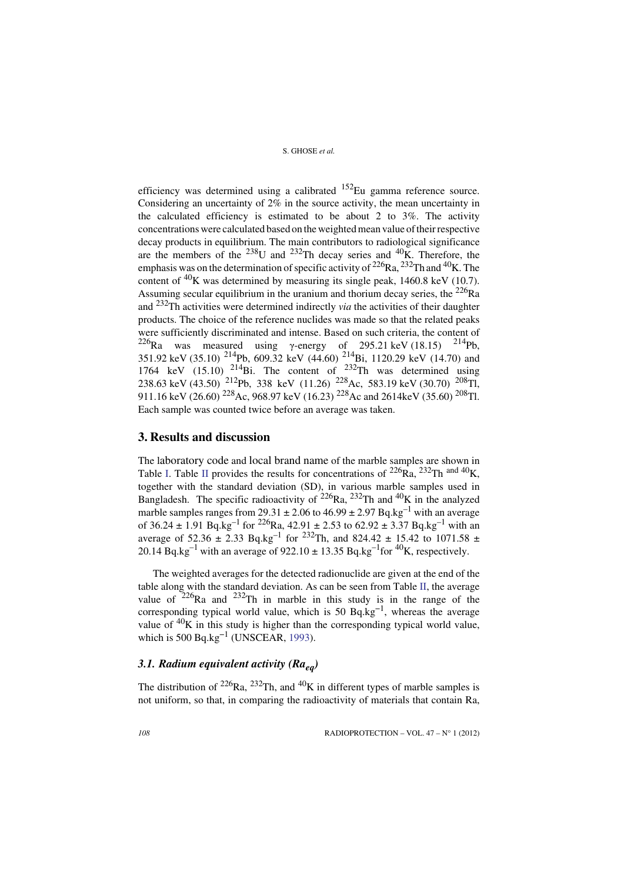efficiency was determined using a calibrated  $152$ Eu gamma reference source. Considering an uncertainty of 2% in the source activity, the mean uncertainty in the calculated efficiency is estimated to be about 2 to 3%. The activity concentrations were calculated based on the weighted mean value of their respective decay products in equilibrium. The main contributors to radiological significance are the members of the  $^{238}$ U and  $^{232}$ Th decay series and  $^{40}$ K. Therefore, the emphasis was on the determination of specific activity of  $^{226}Ra$ ,  $^{232}Th$  and  $^{40}K$ . The content of  ${}^{40}$ K was determined by measuring its single peak, 1460.8 keV (10.7). Assuming secular equilibrium in the uranium and thorium decay series, the  $^{226}Ra$ and 232Th activities were determined indirectly *via* the activities of their daughter products. The choice of the reference nuclides was made so that the related peaks were sufficiently discriminated and intense. Based on such criteria, the content of <sup>226</sup>Ra was measured using γ-energy of 295.21 keV (18.15) <sup>214</sup>Pb, 351.92 keV (35.10) 214Pb, 609.32 keV (44.60) 214Bi, 1120.29 keV (14.70) and 1764 keV (15.10)  $^{214}$ Bi. The content of  $^{232}$ Th was determined using 238.63 keV (43.50) <sup>212</sup>Pb, 338 keV (11.26) <sup>228</sup>Ac, 583.19 keV (30.70) <sup>208</sup>Tl, 911.16 keV (26.60) 228Ac, 968.97 keV (16.23) 228Ac and 2614keV (35.60) 208Tl. Each sample was counted twice before an average was taken.

# **3. Results and discussion**

The laboratory code and local brand name of the marble samples are shown in Table [I](#page-4-0). Table [II](#page-5-0) provides the results for concentrations of  $^{226}Ra$ ,  $^{232}Th$  and  $^{40}K$ , together with the standard deviation (SD), in various marble samples used in Bangladesh. The specific radioactivity of  $^{226}$ Ra,  $^{232}$ Th and  $^{40}$ K in the analyzed marble samples ranges from 29.31  $\pm$  2.06 to 46.99  $\pm$  2.97 Bq.kg<sup>-1</sup> with an average of 36.24  $\pm$  1.91 Bq.kg<sup>-1</sup> for <sup>226</sup>Ra, 42.91  $\pm$  2.53 to 62.92  $\pm$  3.37 Bq.kg<sup>-1</sup> with an average of 52.36  $\pm$  2.33 Bq.kg<sup>-1</sup> for <sup>232</sup>Th, and 824.42  $\pm$  15.42 to 1071.58  $\pm$ 20.14 Bq.kg<sup>-1</sup> with an average of 922.10  $\pm$  13.35 Bq.kg<sup>-1</sup> for <sup>40</sup>K, respectively.

The weighted averages for the detected radionuclide are given at the end of the table along with the standard deviation. As can be seen from Table [II](#page-5-0), the average value of  $226$ Ra and  $232$ Th in marble in this study is in the range of the corresponding typical world value, which is 50  $Bq/kg^{-1}$ , whereas the average value of  $40K$  in this study is higher than the corresponding typical world value, which is 500 Bq.kg<sup> $-1$ </sup> (UNSCEAR, [1993\)](#page-13-3).

# *3.1. Radium equivalent activity (Raeq)*

The distribution of <sup>226</sup>Ra, <sup>232</sup>Th, and <sup>40</sup>K in different types of marble samples is not uniform, so that, in comparing the radioactivity of materials that contain Ra,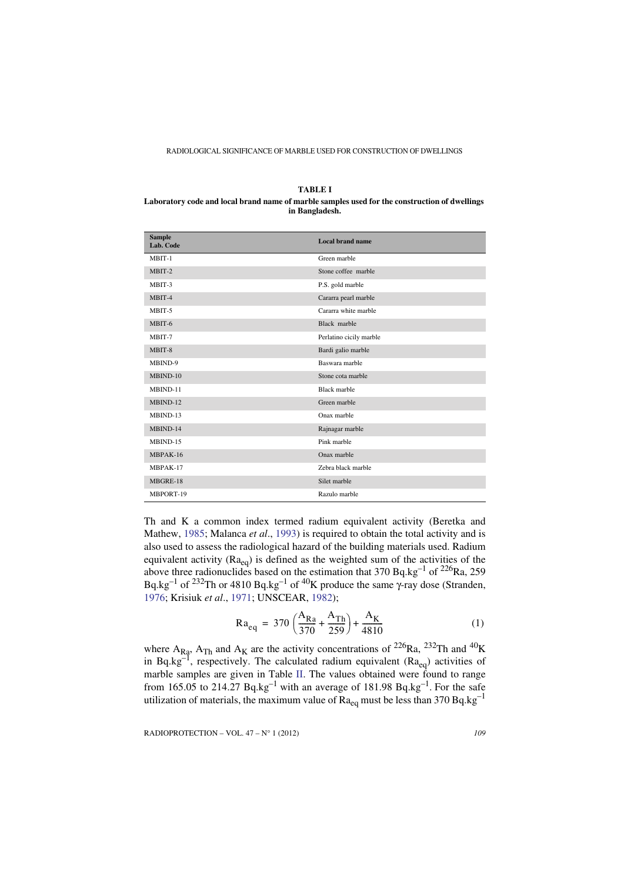<span id="page-4-0"></span>**TABLE I Laboratory code and local brand name of marble samples used for the construction of dwellings in Bangladesh.**

| <b>Sample</b><br>Lab. Code | <b>Local brand name</b> |
|----------------------------|-------------------------|
| MBIT-1                     | Green marble            |
| MBIT-2                     | Stone coffee marble     |
| MBIT-3                     | P.S. gold marble        |
| MBIT-4                     | Cararra pearl marble    |
| MBIT-5                     | Cararra white marble    |
| MBIT-6                     | Black marble            |
| MBIT-7                     | Perlatino cicily marble |
| MBIT-8                     | Bardi galio marble      |
| MBIND-9                    | Baswara marble          |
| MBIND-10                   | Stone cota marble       |
| MBIND-11                   | <b>Black marble</b>     |
| MBIND-12                   | Green marble            |
| MBIND-13                   | Onax marble             |
| MBIND-14                   | Rajnagar marble         |
| MBIND-15                   | Pink marble             |
| MBPAK-16                   | Onax marble             |
| MBPAK-17                   | Zebra black marble      |
| MBGRE-18                   | Silet marble            |
| MBPORT-19                  | Razulo marble           |

Th and K a common index termed radium equivalent activity (Beretka and Mathew, [1985](#page-12-7); Malanca *et al*., [1993\)](#page-12-8) is required to obtain the total activity and is also used to assess the radiological hazard of the building materials used. Radium equivalent activity  $(Ra_{eq})$  is defined as the weighted sum of the activities of the above three radionuclides based on the estimation that 370 Bq.kg<sup>-1</sup> of <sup>226</sup>Ra, 259 Bq.kg<sup>-1</sup> of <sup>232</sup>Th or 4810 Bq.kg<sup>-1</sup> of <sup>40</sup>K produce the same γ-ray dose (Stranden, [1976](#page-13-4); Krisiuk *et al*., [1971](#page-12-9); UNSCEAR, [1982](#page-13-5));

$$
Ra_{eq} = 370 \left( \frac{A_{Ra}}{370} + \frac{A_{Th}}{259} \right) + \frac{A_K}{4810}
$$
 (1)

where  $A_{Ra}$ ,  $A_{Th}$  and  $A_K$  are the activity concentrations of <sup>226</sup>Ra, <sup>232</sup>Th and <sup>40</sup>K in Bq.kg<sup>-1</sup>, respectively. The calculated radium equivalent ( $Ra_{eq}$ ) activities of marble samples are given in Table [II](#page-5-0). The values obtained were found to range from 165.05 to 214.27 Bq.kg<sup>-1</sup> with an average of 181.98 Bq.kg<sup>-1</sup>. For the safe utilization of materials, the maximum value of  $Ra_{eq}$  must be less than 370 Bq.kg<sup>-1</sup>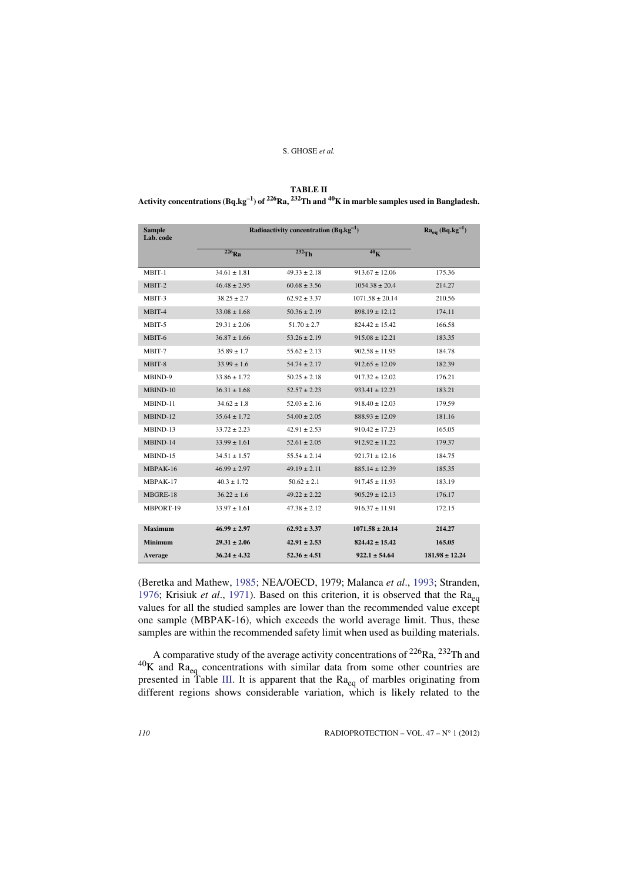<span id="page-5-0"></span>

| TABLE II                                                                                                                                         |
|--------------------------------------------------------------------------------------------------------------------------------------------------|
| Activity concentrations (Bq.kg <sup>-1</sup> ) of <sup>226</sup> Ra, <sup>232</sup> Th and <sup>40</sup> K in marble samples used in Bangladesh. |

| <b>Sample</b><br>Lab. code | Radioactivity concentration $(Bq \cdot kg^{-1})$ | $Ra_{eq}$ (Bq.kg <sup>-1</sup> ) |                     |                    |
|----------------------------|--------------------------------------------------|----------------------------------|---------------------|--------------------|
|                            | $226$ Ra                                         | $232$ Th                         | 40 <sub>K</sub>     |                    |
| MBIT-1                     | $34.61 \pm 1.81$                                 | $49.33 + 2.18$                   | $913.67 \pm 12.06$  | 175.36             |
| MBIT-2                     | $46.48 \pm 2.95$                                 | $60.68 \pm 3.56$                 | $1054.38 \pm 20.4$  | 214.27             |
| MBIT-3                     | $38.25 \pm 2.7$                                  | $62.92 \pm 3.37$                 | $1071.58 \pm 20.14$ | 210.56             |
| MBIT-4                     | $33.08 \pm 1.68$                                 | $50.36 \pm 2.19$                 | $898.19 \pm 12.12$  | 174.11             |
| MBIT-5                     | $29.31 + 2.06$                                   | $51.70 \pm 2.7$                  | $824.42 \pm 15.42$  | 166.58             |
| MBIT-6                     | $36.87 \pm 1.66$                                 | $53.26 \pm 2.19$                 | $915.08 \pm 12.21$  | 183.35             |
| MBIT-7                     | $35.89 \pm 1.7$                                  | $55.62 \pm 2.13$                 | $902.58 \pm 11.95$  | 184.78             |
| MBIT-8                     | $33.99 \pm 1.6$                                  | $54.74 \pm 2.17$                 | $912.65 \pm 12.09$  | 182.39             |
| MBIND-9                    | $33.86 \pm 1.72$                                 | $50.25 \pm 2.18$                 | $917.32 \pm 12.02$  | 176.21             |
| MBIND-10                   | $36.31 \pm 1.68$                                 | $52.57 \pm 2.23$                 | $933.41 \pm 12.23$  | 183.21             |
| MBIND-11                   | $34.62 \pm 1.8$                                  | $52.03 \pm 2.16$                 | $918.40 \pm 12.03$  | 179.59             |
| MBIND-12                   | $35.64 \pm 1.72$                                 | $54.00 \pm 2.05$                 | $888.93 \pm 12.09$  | 181.16             |
| MBIND-13                   | $33.72 \pm 2.23$                                 | $42.91 \pm 2.53$                 | $910.42 \pm 17.23$  | 165.05             |
| MBIND-14                   | $33.99 \pm 1.61$                                 | $52.61 \pm 2.05$                 | $912.92 \pm 11.22$  | 179.37             |
| MBIND-15                   | $34.51 \pm 1.57$                                 | $55.54 \pm 2.14$                 | $921.71 \pm 12.16$  | 184.75             |
| MBPAK-16                   | $46.99 \pm 2.97$                                 | $49.19 \pm 2.11$                 | $885.14 \pm 12.39$  | 185.35             |
| MBPAK-17                   | $40.3 \pm 1.72$                                  | $50.62 \pm 2.1$                  | $917.45 \pm 11.93$  | 183.19             |
| MBGRE-18                   | $36.22 \pm 1.6$                                  | $49.22 + 2.22$                   | $905.29 \pm 12.13$  | 176.17             |
| MBPORT-19                  | $33.97 \pm 1.61$                                 | $47.38 \pm 2.12$                 | $916.37 \pm 11.91$  | 172.15             |
| <b>Maximum</b>             | $46.99 \pm 2.97$                                 | $62.92 \pm 3.37$                 | $1071.58 \pm 20.14$ | 214.27             |
| <b>Minimum</b>             | $29.31 \pm 2.06$                                 | $42.91 \pm 2.53$                 | $824.42 \pm 15.42$  | 165.05             |
| Average                    | $36.24 \pm 4.32$                                 | $52.36 \pm 4.51$                 | $922.1 \pm 54.64$   | $181.98 \pm 12.24$ |

(Beretka and Mathew, [1985](#page-12-7); NEA/OECD, 1979; Malanca *et al*., [1993](#page-12-8); Stranden, [1976;](#page-13-4) Krisiuk *et al.*, [1971](#page-12-9)). Based on this criterion, it is observed that the Ra<sub>eq</sub> values for all the studied samples are lower than the recommended value except one sample (MBPAK-16), which exceeds the world average limit. Thus, these samples are within the recommended safety limit when used as building materials.

A comparative study of the average activity concentrations of  $^{226}Ra$ ,  $^{232}Th$  and  $^{40}$ K and  $Ra_{eq}$  concentrations with similar data from some other countries are presented in Table [III.](#page-6-0) It is apparent that the Ra<sub>eq</sub> of marbles originating from different regions shows considerable variation, which is likely related to the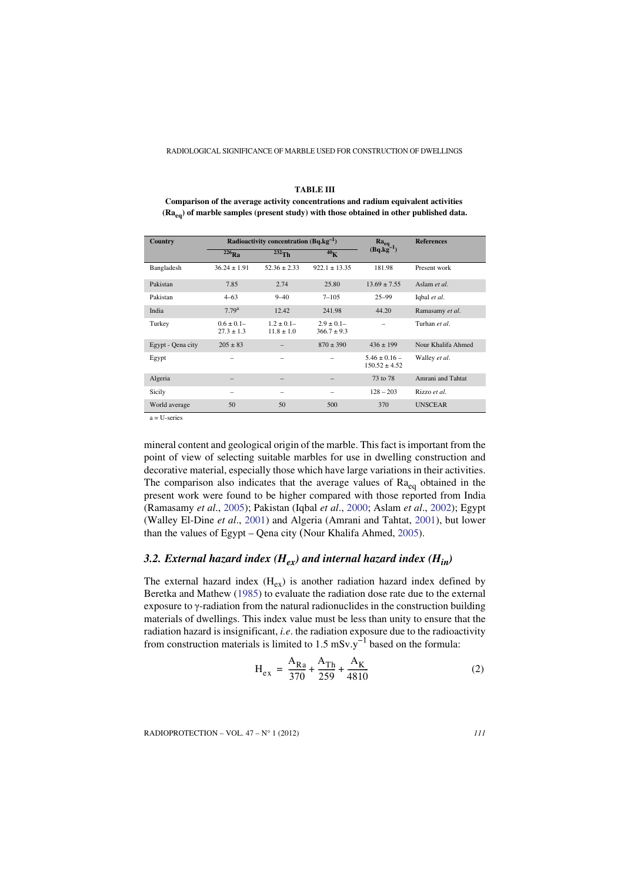<span id="page-6-0"></span>

| <b>TABLE III</b>                                                                           |
|--------------------------------------------------------------------------------------------|
| Comparison of the average activity concentrations and radium equivalent activities         |
| $(Ra_{eq})$ of marble samples (present study) with those obtained in other published data. |

| Country           |                                 | Radioactivity concentration $(Bq.kg^{-1})$ | $Ra_{eq}$                        | <b>References</b>                      |                    |
|-------------------|---------------------------------|--------------------------------------------|----------------------------------|----------------------------------------|--------------------|
|                   | $226$ Ra                        | $232$ Th                                   | 40 <sub>K</sub>                  | $(Bq.kg^{-1})$                         |                    |
| Bangladesh        | $36.24 \pm 1.91$                | $52.36 \pm 2.33$                           | $922.1 \pm 13.35$                | 181.98                                 | Present work       |
| Pakistan          | 7.85                            | 2.74                                       | 25.80                            | $13.69 \pm 7.55$                       | Aslam et al.       |
| Pakistan          | $4 - 63$                        | $9 - 40$                                   | $7 - 105$                        | $25 - 99$                              | Iqbal et al.       |
| India             | 7.79 <sup>a</sup>               | 12.42                                      | 241.98                           | 44.20                                  | Ramasamy et al.    |
| Turkey            | $0.6 \pm 0.1$<br>$27.3 \pm 1.3$ | $1.2 \pm 0.1 -$<br>$11.8 \pm 1.0$          | $2.9 \pm 0.1 -$<br>$366.7 + 9.3$ |                                        | Turhan et al.      |
| Egypt - Qena city | $205 \pm 83$                    |                                            | $870 \pm 390$                    | $436 \pm 199$                          | Nour Khalifa Ahmed |
| Egypt             |                                 | $\overline{\phantom{0}}$                   | $\overline{\phantom{a}}$         | $5.46 \pm 0.16$ –<br>$150.52 \pm 4.52$ | Walley et al.      |
| Algeria           |                                 |                                            |                                  | 73 to 78                               | Amrani and Tahtat  |
| Sicily            | -                               | $\overline{\phantom{0}}$                   | $\overline{\phantom{a}}$         | $128 - 203$                            | Rizzo et al.       |
| World average     | 50                              | 50                                         | 500                              | 370                                    | <b>UNSCEAR</b>     |

 $a = U$ -series

mineral content and geological origin of the marble. This fact is important from the point of view of selecting suitable marbles for use in dwelling construction and decorative material, especially those which have large variations in their activities. The comparison also indicates that the average values of  $Ra_{eq}$  obtained in the present work were found to be higher compared with those reported from India (Ramasamy *et al*., [2005](#page-13-1)); Pakistan (Iqbal *et al*., [2000;](#page-12-1) Aslam *et al*., [2002\)](#page-12-10); Egypt (Walley El-Dine *et al*., [2001\)](#page-13-6) and Algeria (Amrani and Tahtat, [2001\)](#page-12-3), but lower than the values of Egypt – Qena city (Nour Khalifa Ahmed, [2005\)](#page-13-7).

# 3.2. External hazard index  $(H_{ex})$  and internal hazard index  $(H_{in})$

The external hazard index  $(H_{ex})$  is another radiation hazard index defined by Beretka and Mathew (1985) to evaluate the radiation dose rate due to the external exposure to γ-radiation from the natural radionuclides in the construction building materials of dwellings. This index value must be less than unity to ensure that the radiation hazard is insignificant, *i.e*. the radiation exposure due to the radioactivity from construction materials is limited to 1.5 mSv.y<sup> $-1$ </sup> based on the formula:

$$
H_{ex} = \frac{A_{Ra}}{370} + \frac{A_{Th}}{259} + \frac{A_K}{4810}
$$
 (2)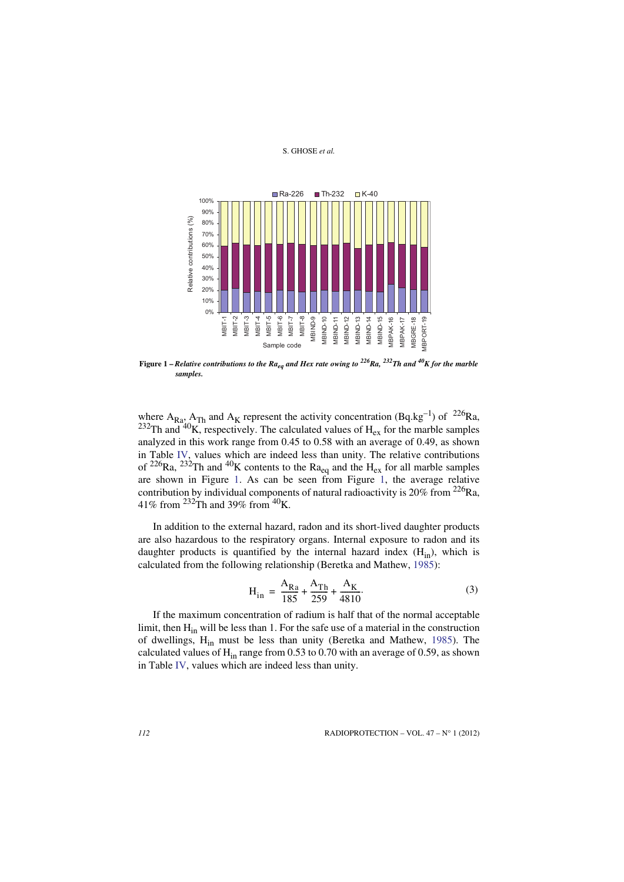

<span id="page-7-0"></span>**Figure 1 –** *Relative contributions to the Raeq and Hex rate owing to 226Ra, 232Th and 40K for the marble samples.*

where  $A_{Ra}$ ,  $A_{Th}$  and  $A_K$  represent the activity concentration (Bq.kg<sup>-1</sup>) of <sup>226</sup>Ra, <sup>232</sup>Th and <sup>40</sup>K, respectively. The calculated values of  $H_{ex}$  for the marble samples analyzed in this work range from 0.45 to 0.58 with an average of 0.49, as shown in Table [IV,](#page-9-0) values which are indeed less than unity. The relative contributions of <sup>226</sup>Ra, <sup>232</sup>Th and <sup>40</sup>K contents to the Ra<sub>eq</sub> and the H<sub>ex</sub> for all marble samples are shown in Figure [1](#page-7-0). As can be seen from Figure [1](#page-7-0), the average relative contribution by individual components of natural radioactivity is  $20\%$  from  $226$ Ra, 41% from  $^{232}$ Th and 39% from  $^{40}$ K.

In addition to the external hazard, radon and its short-lived daughter products are also hazardous to the respiratory organs. Internal exposure to radon and its daughter products is quantified by the internal hazard index  $(H_{in})$ , which is calculated from the following relationship (Beretka and Mathew, [1985](#page-12-7)):

$$
H_{in} = \frac{A_{Ra}}{185} + \frac{A_{Th}}{259} + \frac{A_K}{4810}.
$$
 (3)

If the maximum concentration of radium is half that of the normal acceptable limit, then  $H_{in}$  will be less than 1. For the safe use of a material in the construction of dwellings, H<sub>in</sub> must be less than unity (Beretka and Mathew, [1985\)](#page-12-7). The calculated values of  $H_{in}$  range from 0.53 to 0.70 with an average of 0.59, as shown in Table [IV,](#page-9-0) values which are indeed less than unity.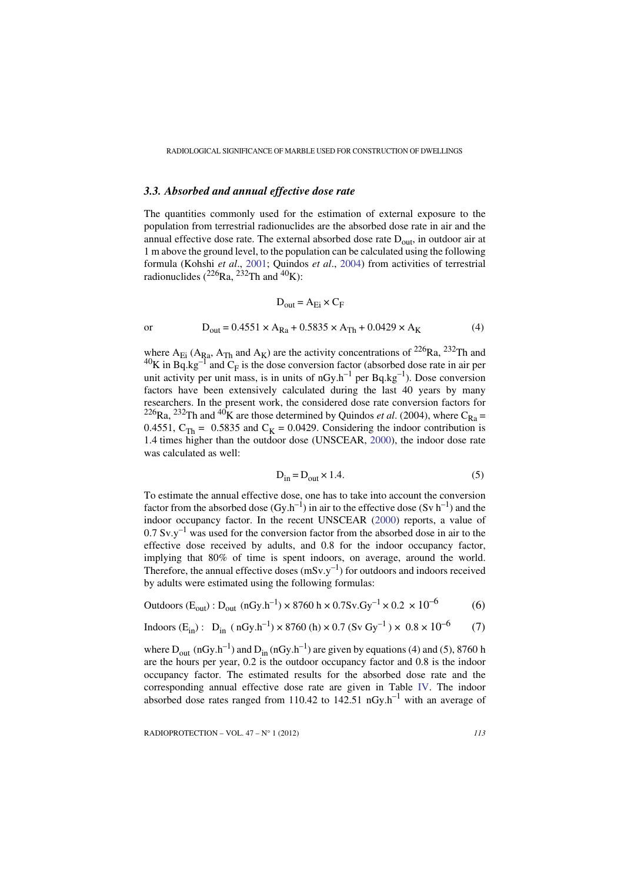# *3.3. Absorbed and annual effective dose rate*

The quantities commonly used for the estimation of external exposure to the population from terrestrial radionuclides are the absorbed dose rate in air and the annual effective dose rate. The external absorbed dose rate  $D_{out}$ , in outdoor air at 1 m above the ground level, to the population can be calculated using the following formula (Kohshi *et al*., [2001;](#page-12-11) Quindos *et al*., [2004\)](#page-13-8) from activities of terrestrial radionuclides  $(^{226}Ra, ^{232}Th$  and  $^{40}K)$ :

$$
D_{out} = A_{Ei} \times C_F
$$
  
or  

$$
D_{out} = 0.4551 \times A_{Ra} + 0.5835 \times A_{Th} + 0.0429 \times A_K
$$
 (4)

where  $A_{Ei}$  ( $A_{Ra}$ ,  $A_{Th}$  and  $A_K$ ) are the activity concentrations of  $^{226}Ra$ ,  $^{232}Th$  and  $^{40}$ K in Bq.kg<sup>-1</sup> and C<sub>F</sub> is the dose conversion factor (absorbed dose rate in air per unit activity per unit mass, is in units of  $nGy.h^{-1}$  per  $Bq.kg^{-1}$ ). Dose conversion factors have been extensively calculated during the last 40 years by many researchers. In the present work, the considered dose rate conversion factors for  $^{226}$ Ra,  $^{232}$ Th and  $^{40}$ K are those determined by Quindos *et al.* (2004), where C<sub>Ra</sub> = 0.4551,  $C_{\text{Th}} = 0.5835$  and  $C_K = 0.0429$ . Considering the indoor contribution is 1.4 times higher than the outdoor dose (UNSCEAR, [2000](#page-13-9)), the indoor dose rate was calculated as well:

$$
D_{in} = D_{out} \times 1.4.
$$

To estimate the annual effective dose, one has to take into account the conversion factor from the absorbed dose  $(Gy.h^{-1})$  in air to the effective dose  $(Sy h^{-1})$  and the indoor occupancy factor. In the recent UNSCEAR ([2000\)](#page-13-9) reports, a value of  $0.7 \text{ Sv.}y^{-1}$  was used for the conversion factor from the absorbed dose in air to the effective dose received by adults, and 0.8 for the indoor occupancy factor, implying that 80% of time is spent indoors, on average, around the world. Therefore, the annual effective doses  $(mSv.y^{-1})$  for outdoors and indoors received by adults were estimated using the following formulas:

Outdoors (Eout):Dout (nGy.h–1) × 8760 h × 0.7Sv.Gy–1 × 0.2 × 10–6 (6)

Indoors (Ein): Din ( nGy.h–1) × 8760 (h) × 0.7 (Sv Gy–1 ) × 0.8 × 10–6 (7)

where  $D_{out}$  (nGy.h<sup>-1</sup>) and  $D_{in}$  (nGy.h<sup>-1</sup>) are given by equations (4) and (5), 8760 h are the hours per year, 0.2 is the outdoor occupancy factor and 0.8 is the indoor occupancy factor. The estimated results for the absorbed dose rate and the corresponding annual effective dose rate are given in Table [IV](#page-9-0). The indoor absorbed dose rates ranged from 110.42 to 142.51  $nGy.h^{-1}$  with an average of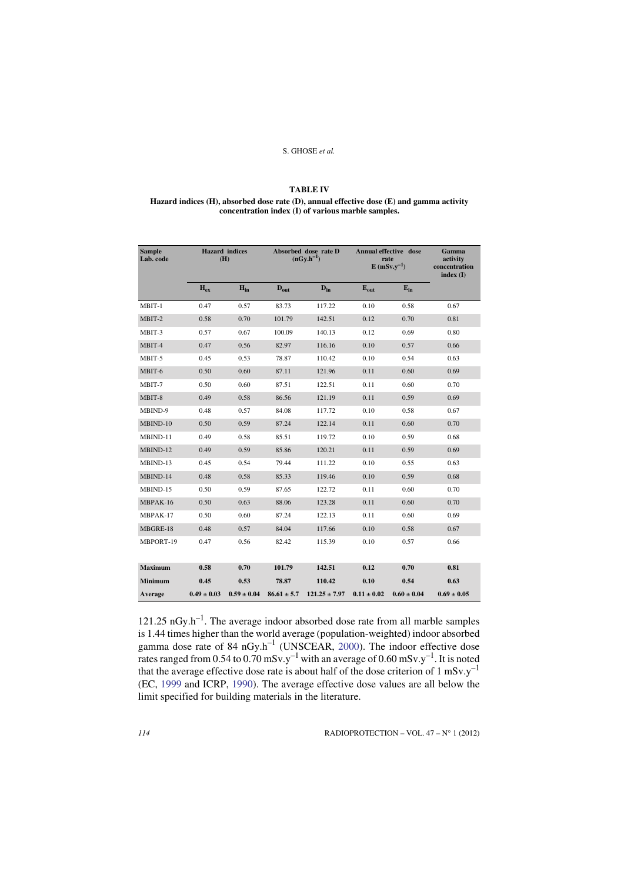## **TABLE IV**

## <span id="page-9-0"></span>**Hazard indices (H), absorbed dose rate (D), annual effective dose (E) and gamma activity concentration index (I) of various marble samples.**

| <b>Sample</b><br>Lab. code |                 | <b>Hazard</b> indices<br>(H) | Absorbed dose rate D<br>$(nGv.h^{-1})$ |                   | Annual effective dose<br>rate<br>$E$ (mSv.v <sup>-1</sup> ) |                 | Gamma<br>activity<br>concentration<br>index(I) |
|----------------------------|-----------------|------------------------------|----------------------------------------|-------------------|-------------------------------------------------------------|-----------------|------------------------------------------------|
|                            | $H_{ex}$        | $H_{in}$                     | $D_{\text{out}}$                       | $D_{in}$          | $E_{\text{out}}$                                            | $E_{in}$        |                                                |
| MBIT-1                     | 0.47            | 0.57                         | 83.73                                  | 117.22            | 0.10                                                        | 0.58            | 0.67                                           |
| MBIT-2                     | 0.58            | 0.70                         | 101.79                                 | 142.51            | 0.12                                                        | 0.70            | 0.81                                           |
| MBIT-3                     | 0.57            | 0.67                         | 100.09                                 | 140.13            | 0.12                                                        | 0.69            | 0.80                                           |
| MBIT-4                     | 0.47            | 0.56                         | 82.97                                  | 116.16            | 0.10                                                        | 0.57            | 0.66                                           |
| MBIT-5                     | 0.45            | 0.53                         | 78.87                                  | 110.42            | 0.10                                                        | 0.54            | 0.63                                           |
| MBIT-6                     | 0.50            | 0.60                         | 87.11                                  | 121.96            | 0.11                                                        | 0.60            | 0.69                                           |
| MBIT-7                     | 0.50            | 0.60                         | 87.51                                  | 122.51            | 0.11                                                        | 0.60            | 0.70                                           |
| MBIT-8                     | 0.49            | 0.58                         | 86.56                                  | 121.19            | 0.11                                                        | 0.59            | 0.69                                           |
| MBIND-9                    | 0.48            | 0.57                         | 84.08                                  | 117.72            | 0.10                                                        | 0.58            | 0.67                                           |
| MBIND-10                   | 0.50            | 0.59                         | 87.24                                  | 122.14            | 0.11                                                        | 0.60            | 0.70                                           |
| MBIND-11                   | 0.49            | 0.58                         | 85.51                                  | 119.72            | 0.10                                                        | 0.59            | 0.68                                           |
| MBIND-12                   | 0.49            | 0.59                         | 85.86                                  | 120.21            | 0.11                                                        | 0.59            | 0.69                                           |
| MBIND-13                   | 0.45            | 0.54                         | 79.44                                  | 111.22            | 0.10                                                        | 0.55            | 0.63                                           |
| MBIND-14                   | 0.48            | 0.58                         | 85.33                                  | 119.46            | 0.10                                                        | 0.59            | 0.68                                           |
| MBIND-15                   | 0.50            | 0.59                         | 87.65                                  | 122.72            | 0.11                                                        | 0.60            | 0.70                                           |
| MBPAK-16                   | 0.50            | 0.63                         | 88.06                                  | 123.28            | 0.11                                                        | 0.60            | 0.70                                           |
| MBPAK-17                   | 0.50            | 0.60                         | 87.24                                  | 122.13            | 0.11                                                        | 0.60            | 0.69                                           |
| MBGRE-18                   | 0.48            | 0.57                         | 84.04                                  | 117.66            | 0.10                                                        | 0.58            | 0.67                                           |
| MBPORT-19                  | 0.47            | 0.56                         | 82.42                                  | 115.39            | 0.10                                                        | 0.57            | 0.66                                           |
| <b>Maximum</b>             | 0.58            | 0.70                         | 101.79                                 | 142.51            | 0.12                                                        | 0.70            | 0.81                                           |
| Minimum                    | 0.45            | 0.53                         | 78.87                                  | 110.42            | 0.10                                                        | 0.54            | 0.63                                           |
| Average                    | $0.49 \pm 0.03$ | $0.59 \pm 0.04$              | $86.61 \pm 5.7$                        | $121.25 \pm 7.97$ | $0.11 \pm 0.02$                                             | $0.60 \pm 0.04$ | $0.69 \pm 0.05$                                |

 $121.25 \text{ nGy.h}^{-1}$ . The average indoor absorbed dose rate from all marble samples is 1.44 times higher than the world average (population-weighted) indoor absorbed gamma dose rate of 84  $nGy.h^{-1}$  (UNSCEAR, [2000\)](#page-13-9). The indoor effective dose rates ranged from 0.54 to 0.70 mSv.y<sup>-1</sup> with an average of 0.60 mSv.y<sup>-1</sup>. It is noted that the average effective dose rate is about half of the dose criterion of 1 mSv.y<sup>-1</sup> (EC, [1999](#page-12-12) and ICRP, [1990](#page-12-13)). The average effective dose values are all below the limit specified for building materials in the literature.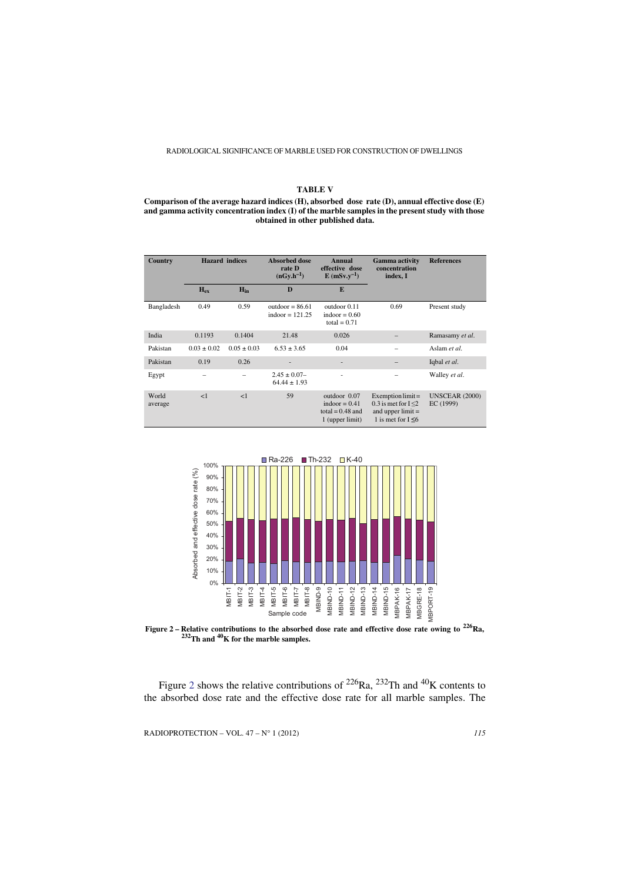## **TABLE V**

#### **Comparison of the average hazard indices (H), absorbed dose rate (D), annual effective dose (E) and gamma activity concentration index (I) of the marble samples in the present study with those obtained in other published data.**

| Country          | <b>Hazard</b> indices |                 | <b>Absorbed dose</b><br>Annual<br>effective dose<br>rate D<br>$(nGv.h^{-1})$<br>$E(mSv.y^{-1})$ |                                                                          | <b>Gamma</b> activity<br>concentration<br>index, I                                              | <b>References</b>                  |
|------------------|-----------------------|-----------------|-------------------------------------------------------------------------------------------------|--------------------------------------------------------------------------|-------------------------------------------------------------------------------------------------|------------------------------------|
|                  | $H_{\rm ex}$          | $H_{in}$        | $\bf{D}$                                                                                        | E                                                                        |                                                                                                 |                                    |
| Bangladesh       | 0.49                  | 0.59            | outdoor = $86.61$<br>indoor = $121.25$                                                          | outdoor 0.11<br>indoor = $0.60$<br>total = $0.71$                        | 0.69                                                                                            | Present study                      |
| India            | 0.1193                | 0.1404          | 21.48                                                                                           | 0.026                                                                    |                                                                                                 | Ramasamy et al.                    |
| Pakistan         | $0.03 \pm 0.02$       | $0.05 \pm 0.03$ | $6.53 + 3.65$                                                                                   | 0.04                                                                     |                                                                                                 | Aslam et al.                       |
| Pakistan         | 0.19                  | 0.26            |                                                                                                 | ۰                                                                        |                                                                                                 | Iqbal et al.                       |
| Egypt            |                       |                 | $2.45 \pm 0.07 -$<br>$64.44 \pm 1.93$                                                           | ä,                                                                       |                                                                                                 | Walley et al.                      |
| World<br>average | <1                    | <1              | 59                                                                                              | outdoor 0.07<br>indoor $= 0.41$<br>total = $0.48$ and<br>1 (upper limit) | Exemption $limit =$<br>0.3 is met for $I < 2$<br>and upper $limit =$<br>1 is met for $I \leq 6$ | <b>UNSCEAR (2000)</b><br>EC (1999) |



<span id="page-10-0"></span>**Figure 2 – Relative contributions to the absorbed dose rate and effective dose rate owing to 226Ra, 232Th and 40K for the marble samples.**

Figure [2](#page-10-0) shows the relative contributions of <sup>226</sup>Ra, <sup>232</sup>Th and <sup>40</sup>K contents to the absorbed dose rate and the effective dose rate for all marble samples. The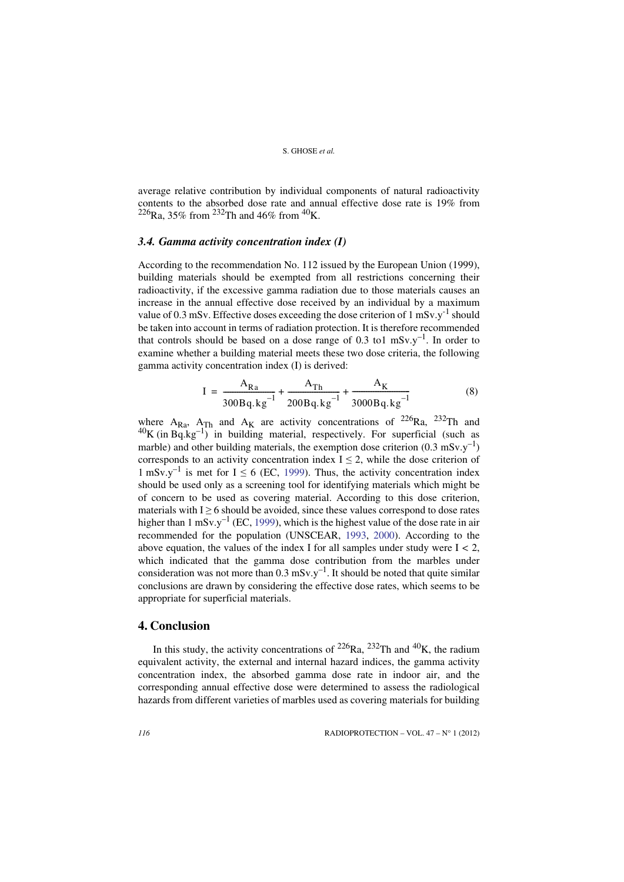average relative contribution by individual components of natural radioactivity contents to the absorbed dose rate and annual effective dose rate is 19% from <sup>226</sup>Ra, 35% from <sup>232</sup>Th and 46% from <sup>40</sup>K.

## *3.4. Gamma activity concentration index (I)*

According to the recommendation No. 112 issued by the European Union (1999), building materials should be exempted from all restrictions concerning their radioactivity, if the excessive gamma radiation due to those materials causes an increase in the annual effective dose received by an individual by a maximum value of 0.3 mSv. Effective doses exceeding the dose criterion of  $1 \text{ mSv.y}^{-1}$  should be taken into account in terms of radiation protection. It is therefore recommended that controls should be based on a dose range of 0.3 to1  $mSv.y^{-1}$ . In order to examine whether a building material meets these two dose criteria, the following gamma activity concentration index (I) is derived:

$$
I = \frac{A_{Ra}}{300Bq \cdot kg^{-1}} + \frac{A_{Th}}{200Bq \cdot kg^{-1}} + \frac{A_{K}}{3000Bq \cdot kg^{-1}}
$$
(8)

where A<sub>Ra</sub>, A<sub>Th</sub> and A<sub>K</sub> are activity concentrations of <sup>226</sup>Ra, <sup>232</sup>Th and  $^{40}$ K (in Bq.kg<sup>-1)</sup> in building material, respectively. For superficial (such as marble) and other building materials, the exemption dose criterion  $(0.3 \text{ mSv.y}^{-1})$ corresponds to an activity concentration index  $I \leq 2$ , while the dose criterion of 1 mSv.y<sup>-1</sup> is met for I  $\leq$  6 (EC, [1999\)](#page-12-12). Thus, the activity concentration index should be used only as a screening tool for identifying materials which might be of concern to be used as covering material. According to this dose criterion, materials with  $I \geq 6$  should be avoided, since these values correspond to dose rates higher than 1 mSv.y<sup>-1</sup> (EC, [1999\)](#page-12-12), which is the highest value of the dose rate in air recommended for the population (UNSCEAR, [1993,](#page-13-3) [2000\)](#page-13-9). According to the above equation, the values of the index I for all samples under study were I *<* 2, which indicated that the gamma dose contribution from the marbles under consideration was not more than  $0.3 \text{ mSv.y}^{-1}$ . It should be noted that quite similar conclusions are drawn by considering the effective dose rates, which seems to be appropriate for superficial materials.

## **4. Conclusion**

In this study, the activity concentrations of  $2^{26}$ Ra,  $2^{32}$ Th and  $4^{0}$ K, the radium equivalent activity, the external and internal hazard indices, the gamma activity concentration index, the absorbed gamma dose rate in indoor air, and the corresponding annual effective dose were determined to assess the radiological hazards from different varieties of marbles used as covering materials for building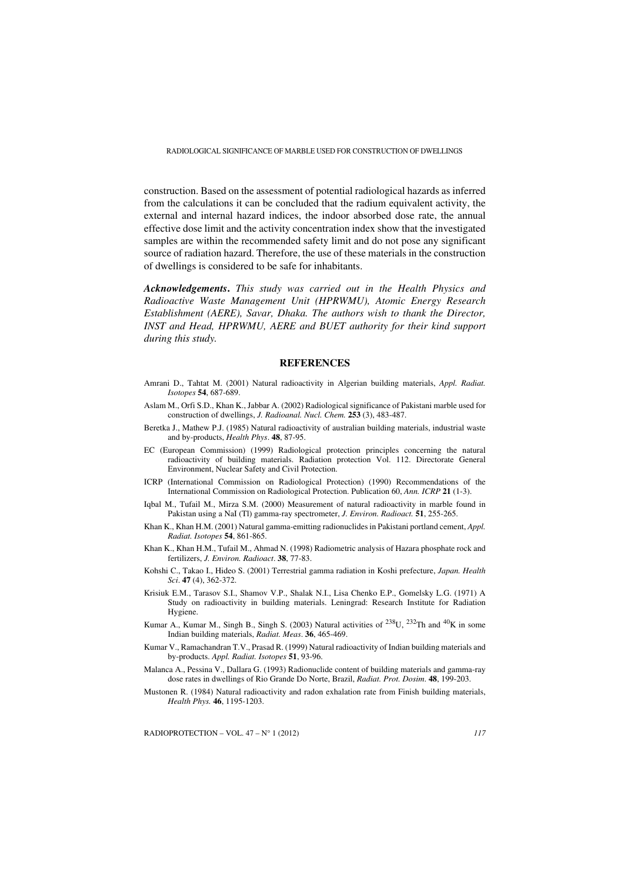construction. Based on the assessment of potential radiological hazards as inferred from the calculations it can be concluded that the radium equivalent activity, the external and internal hazard indices, the indoor absorbed dose rate, the annual effective dose limit and the activity concentration index show that the investigated samples are within the recommended safety limit and do not pose any significant source of radiation hazard. Therefore, the use of these materials in the construction of dwellings is considered to be safe for inhabitants.

*Acknowledgements***.** *This study was carried out in the Health Physics and Radioactive Waste Management Unit (HPRWMU), Atomic Energy Research Establishment (AERE), Savar, Dhaka. The authors wish to thank the Director, INST and Head, HPRWMU, AERE and BUET authority for their kind support during this study.*

## **REFERENCES**

- <span id="page-12-3"></span>Amrani D., Tahtat M. (2001) Natural radioactivity in Algerian building materials, *Appl. Radiat. Isotopes* **54**, 687-689.
- <span id="page-12-10"></span>Aslam M., Orfi S.D., Khan K., Jabbar A. (2002) Radiological significance of Pakistani marble used for construction of dwellings, *J. Radioanal. Nucl. Chem.* **253** (3), 483-487.
- <span id="page-12-7"></span>Beretka J., Mathew P.J. (1985) Natural radioactivity of australian building materials, industrial waste and by-products, *Health Phys*. **48**, 87-95.
- <span id="page-12-12"></span>EC (European Commission) (1999) Radiological protection principles concerning the natural radioactivity of building materials. Radiation protection Vol. 112. Directorate General Environment, Nuclear Safety and Civil Protection.
- <span id="page-12-13"></span>ICRP (International Commission on Radiological Protection) (1990) Recommendations of the International Commission on Radiological Protection. Publication 60, *Ann. ICRP* **21** (1-3).
- <span id="page-12-1"></span>Iqbal M., Tufail M., Mirza S.M. (2000) Measurement of natural radioactivity in marble found in Pakistan using a NaI (Tl) gamma-ray spectrometer, *J. Environ. Radioact.* **51**, 255-265.
- <span id="page-12-4"></span>Khan K., Khan H.M. (2001) Natural gamma-emitting radionuclides in Pakistani portland cement, *Appl. Radiat. Isotopes* **54**, 861-865.
- <span id="page-12-0"></span>Khan K., Khan H.M., Tufail M., Ahmad N. (1998) Radiometric analysis of Hazara phosphate rock and fertilizers, *J. Environ. Radioact*. **38**, 77-83.
- <span id="page-12-11"></span>Kohshi C., Takao I., Hideo S. (2001) Terrestrial gamma radiation in Koshi prefecture, *Japan. Health Sci*. **47** (4), 362-372.
- <span id="page-12-9"></span>Krisiuk E.M., Tarasov S.I., Shamov V.P., Shalak N.I., Lisa Chenko E.P., Gomelsky L.G. (1971) A Study on radioactivity in building materials. Leningrad: Research Institute for Radiation Hygiene.
- <span id="page-12-6"></span>Kumar A., Kumar M., Singh B., Singh S. (2003) Natural activities of  $^{238}$ U,  $^{232}$ Th and  $^{40}$ K in some Indian building materials, *Radiat. Meas*. **36**, 465-469.
- <span id="page-12-5"></span>Kumar V., Ramachandran T.V., Prasad R. (1999) Natural radioactivity of Indian building materials and by-products. *Appl. Radiat. Isotopes* **51**, 93-96.
- <span id="page-12-8"></span>Malanca A., Pessina V., Dallara G. (1993) Radionuclide content of building materials and gamma-ray dose rates in dwellings of Rio Grande Do Norte, Brazil, *Radiat. Prot. Dosim*. **48**, 199-203.
- <span id="page-12-2"></span>Mustonen R. (1984) Natural radioactivity and radon exhalation rate from Finish building materials, *Health Phys.* **46**, 1195-1203.